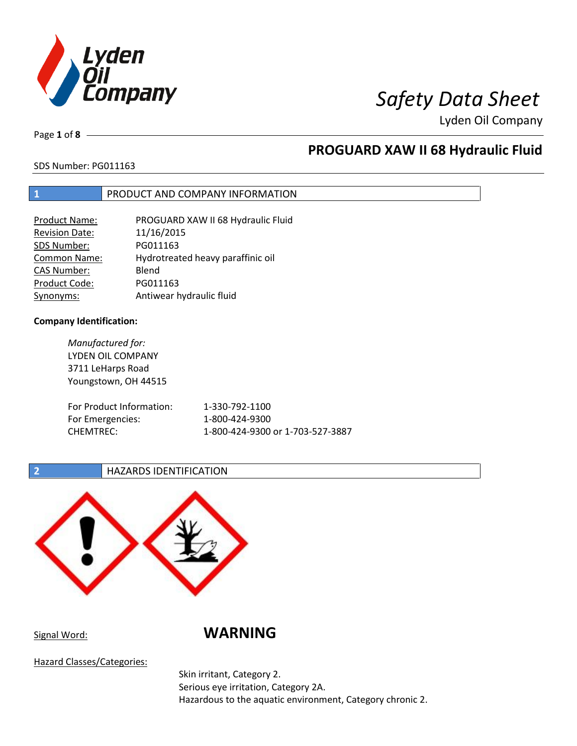

Page **1** of **8**

## **PROGUARD XAW II 68 Hydraulic Fluid**

## SDS Number: PG011163

## **1** PRODUCT AND COMPANY INFORMATION

| Product Name:         | PROGUARD XAW II 68 Hydraulic Fluid |
|-----------------------|------------------------------------|
| <b>Revision Date:</b> | 11/16/2015                         |
| SDS Number:           | PG011163                           |
| Common Name:          | Hydrotreated heavy paraffinic oil  |
| <b>CAS Number:</b>    | Blend                              |
| Product Code:         | PG011163                           |
| Synonyms:             | Antiwear hydraulic fluid           |

### **Company Identification:**

*Manufactured for:* LYDEN OIL COMPANY 3711 LeHarps Road Youngstown, OH 44515 For Product Information: 1-330-792-1100 For Emergencies: 1-800-424-9300 CHEMTREC: 1-800-424-9300 or 1-703-527-3887

### **2 HAZARDS IDENTIFICATION**



Signal Word: **WARNING**

Hazard Classes/Categories:

Skin irritant, Category 2. Serious eye irritation, Category 2A. Hazardous to the aquatic environment, Category chronic 2.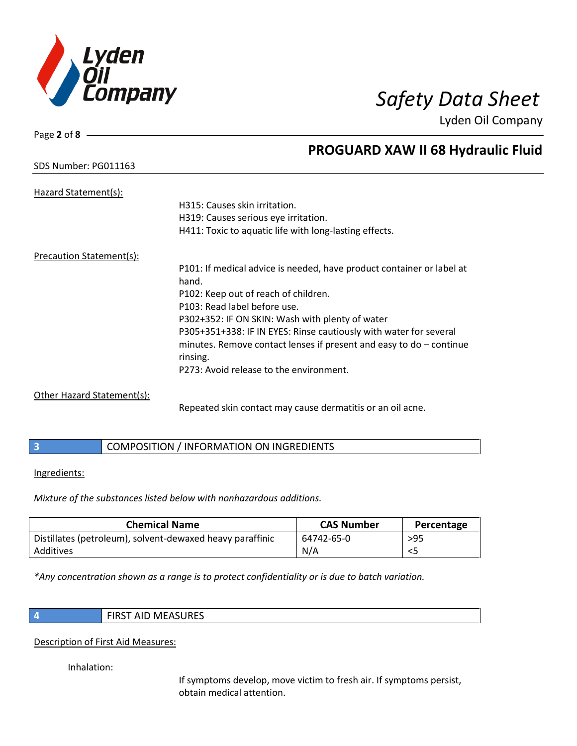

Page **2** of **8**

## **PROGUARD XAW II 68 Hydraulic Fluid**

## SDS Number: PG011163

| Hazard Statement(s):       |                                                                       |
|----------------------------|-----------------------------------------------------------------------|
|                            | H315: Causes skin irritation.                                         |
|                            | H319: Causes serious eye irritation.                                  |
|                            | H411: Toxic to aquatic life with long-lasting effects.                |
| Precaution Statement(s):   |                                                                       |
|                            | P101: If medical advice is needed, have product container or label at |
|                            | hand.                                                                 |
|                            | P102: Keep out of reach of children.                                  |
|                            | P103: Read label before use.                                          |
|                            | P302+352: IF ON SKIN: Wash with plenty of water                       |
|                            | P305+351+338: IF IN EYES: Rinse cautiously with water for several     |
|                            | minutes. Remove contact lenses if present and easy to $do$ – continue |
|                            | rinsing.                                                              |
|                            | P273: Avoid release to the environment.                               |
| Other Hazard Statement(s): |                                                                       |

Repeated skin contact may cause dermatitis or an oil acne.

## **3** COMPOSITION / INFORMATION ON INGREDIENTS

### Ingredients:

*Mixture of the substances listed below with nonhazardous additions.*

| <b>Chemical Name</b>                                      | <b>CAS Number</b> | Percentage |
|-----------------------------------------------------------|-------------------|------------|
| Distillates (petroleum), solvent-dewaxed heavy paraffinic | 64742-65-0        | $>95$      |
| Additives                                                 | N/A               |            |

*\*Any concentration shown as a range is to protect confidentiality or is due to batch variation.*

**4** FIRST AID MEASURES

## Description of First Aid Measures:

Inhalation:

If symptoms develop, move victim to fresh air. If symptoms persist, obtain medical attention.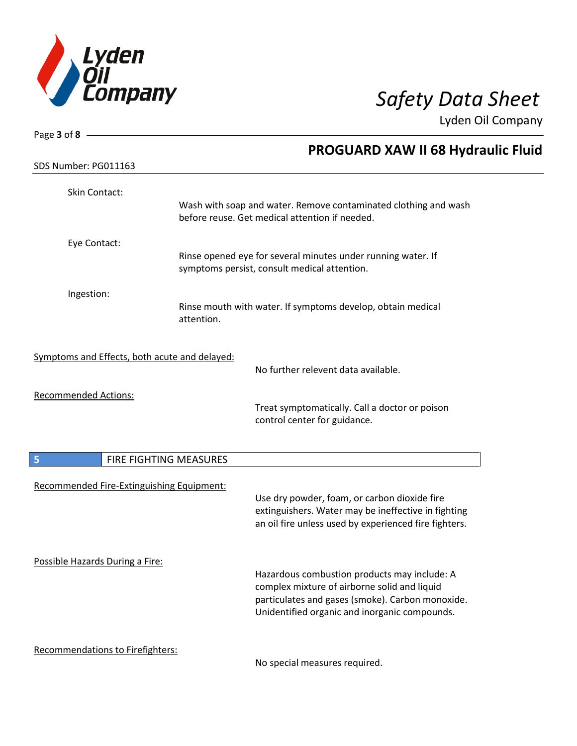

| Page 3 of 8 $-$                               |                        |                                                                                                              |
|-----------------------------------------------|------------------------|--------------------------------------------------------------------------------------------------------------|
|                                               |                        | <b>PROGUARD XAW II 68 Hydraulic Fluid</b>                                                                    |
| SDS Number: PG011163                          |                        |                                                                                                              |
| Skin Contact:                                 |                        |                                                                                                              |
|                                               |                        | Wash with soap and water. Remove contaminated clothing and wash                                              |
|                                               |                        | before reuse. Get medical attention if needed.                                                               |
| Eye Contact:                                  |                        |                                                                                                              |
|                                               |                        | Rinse opened eye for several minutes under running water. If                                                 |
|                                               |                        | symptoms persist, consult medical attention.                                                                 |
| Ingestion:                                    |                        |                                                                                                              |
|                                               |                        | Rinse mouth with water. If symptoms develop, obtain medical                                                  |
|                                               | attention.             |                                                                                                              |
|                                               |                        |                                                                                                              |
| Symptoms and Effects, both acute and delayed: |                        | No further relevent data available.                                                                          |
|                                               |                        |                                                                                                              |
| <b>Recommended Actions:</b>                   |                        |                                                                                                              |
|                                               |                        | Treat symptomatically. Call a doctor or poison<br>control center for guidance.                               |
|                                               |                        |                                                                                                              |
|                                               |                        |                                                                                                              |
| 5                                             | FIRE FIGHTING MEASURES |                                                                                                              |
| Recommended Fire-Extinguishing Equipment:     |                        |                                                                                                              |
|                                               |                        | Use dry powder, foam, or carbon dioxide fire                                                                 |
|                                               |                        | extinguishers. Water may be ineffective in fighting<br>an oil fire unless used by experienced fire fighters. |
|                                               |                        |                                                                                                              |
|                                               |                        |                                                                                                              |
| Possible Hazards During a Fire:               |                        | Hazardous combustion products may include: A                                                                 |
|                                               |                        | complex mixture of airborne solid and liquid                                                                 |
|                                               |                        | particulates and gases (smoke). Carbon monoxide.                                                             |
|                                               |                        | Unidentified organic and inorganic compounds.                                                                |
|                                               |                        |                                                                                                              |
| <b>Recommendations to Firefighters:</b>       |                        |                                                                                                              |

No special measures required.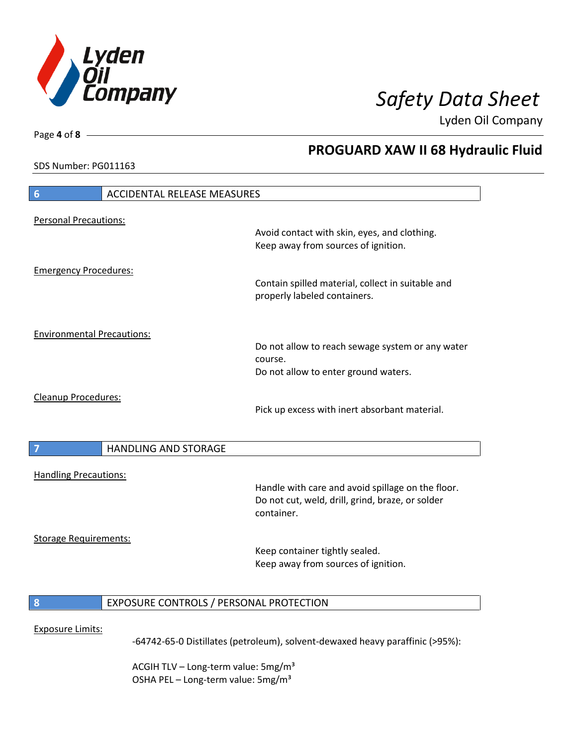

**PROGUARD XAW II 68 Hydraulic Fluid**

Lyden Oil Company

SDS Number: PG011163

Page **4** of **8**

# **6** ACCIDENTAL RELEASE MEASURES Personal Precautions: Avoid contact with skin, eyes, and clothing. Keep away from sources of ignition. Emergency Procedures: Contain spilled material, collect in suitable and properly labeled containers. Environmental Precautions: Do not allow to reach sewage system or any water course. Do not allow to enter ground waters. Cleanup Procedures: Pick up excess with inert absorbant material. **7 HANDLING AND STORAGE** Handling Precautions: Handle with care and avoid spillage on the floor. Do not cut, weld, drill, grind, braze, or solder container. Storage Requirements: Keep container tightly sealed. Keep away from sources of ignition. **8** EXPOSURE CONTROLS / PERSONAL PROTECTION Exposure Limits: -64742-65-0 Distillates (petroleum), solvent-dewaxed heavy paraffinic (>95%):

ACGIH TLV – Long-term value:  $5\,\text{mg/m}^3$ OSHA PEL - Long-term value: 5mg/m<sup>3</sup>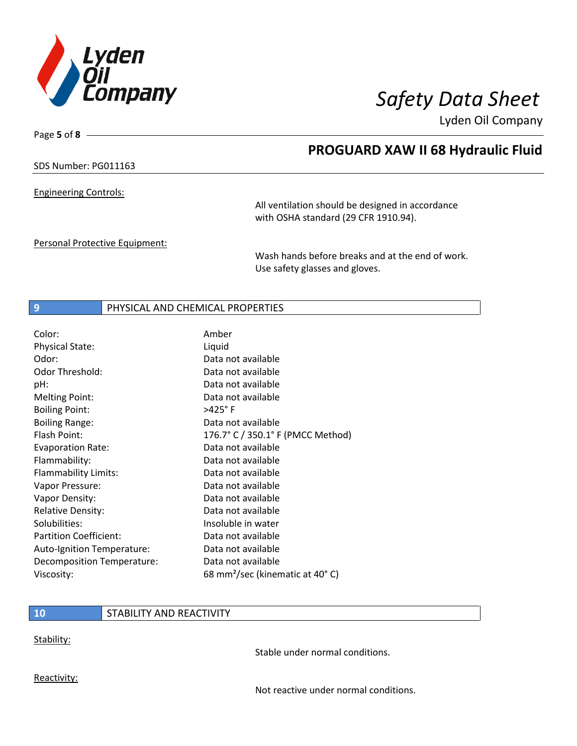

**PROGUARD XAW II 68 Hydraulic Fluid**

Lyden Oil Company

SDS Number: PG011163

Page **5** of **8**

Engineering Controls:

All ventilation should be designed in accordance with OSHA standard (29 CFR 1910.94).

Personal Protective Equipment:

Wash hands before breaks and at the end of work. Use safety glasses and gloves.

### **9** PHYSICAL AND CHEMICAL PROPERTIES

| Color:                        | Amber                                       |
|-------------------------------|---------------------------------------------|
| Physical State:               | Liquid                                      |
| Odor:                         | Data not available                          |
| <b>Odor Threshold:</b>        | Data not available                          |
| pH:                           | Data not available                          |
| <b>Melting Point:</b>         | Data not available                          |
| <b>Boiling Point:</b>         | $>425^\circ$ F                              |
| <b>Boiling Range:</b>         | Data not available                          |
| Flash Point:                  | 176.7° C / 350.1° F (PMCC Method)           |
| <b>Evaporation Rate:</b>      | Data not available                          |
| Flammability:                 | Data not available                          |
| Flammability Limits:          | Data not available                          |
| Vapor Pressure:               | Data not available                          |
| Vapor Density:                | Data not available                          |
| <b>Relative Density:</b>      | Data not available                          |
| Solubilities:                 | Insoluble in water                          |
| <b>Partition Coefficient:</b> | Data not available                          |
| Auto-Ignition Temperature:    | Data not available                          |
| Decomposition Temperature:    | Data not available                          |
| Viscosity:                    | 68 mm <sup>2</sup> /sec (kinematic at 40°C) |

### **10** STABILITY AND REACTIVITY

Stability:

Stable under normal conditions.

Reactivity:

Not reactive under normal conditions.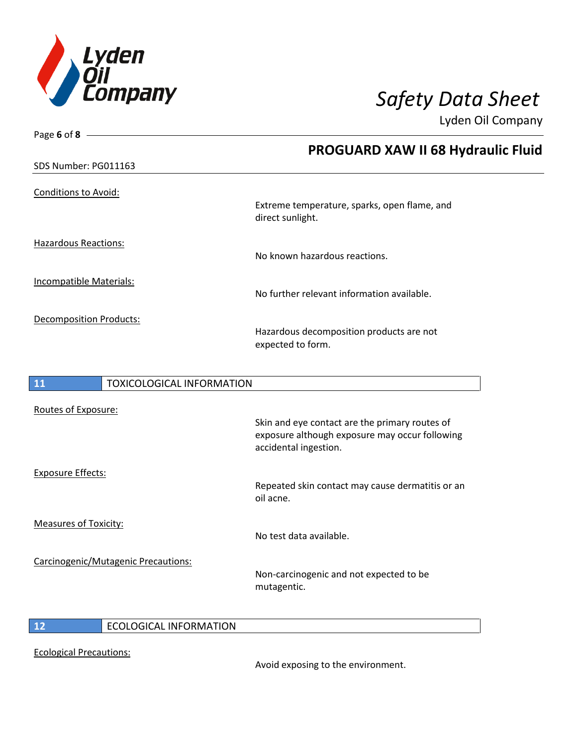

| Page 6 of 8 $-$                        |                                                                                                                           |
|----------------------------------------|---------------------------------------------------------------------------------------------------------------------------|
|                                        | <b>PROGUARD XAW II 68 Hydraulic Fluid</b>                                                                                 |
| SDS Number: PG011163                   |                                                                                                                           |
| <b>Conditions to Avoid:</b>            | Extreme temperature, sparks, open flame, and<br>direct sunlight.                                                          |
| <b>Hazardous Reactions:</b>            | No known hazardous reactions.                                                                                             |
| <b>Incompatible Materials:</b>         | No further relevant information available.                                                                                |
| <b>Decomposition Products:</b>         | Hazardous decomposition products are not<br>expected to form.                                                             |
| 11<br><b>TOXICOLOGICAL INFORMATION</b> |                                                                                                                           |
| Routes of Exposure:                    | Skin and eye contact are the primary routes of<br>exposure although exposure may occur following<br>accidental ingestion. |
| <b>Exposure Effects:</b>               | Repeated skin contact may cause dermatitis or an<br>oil acne.                                                             |
| <b>Measures of Toxicity:</b>           |                                                                                                                           |

Carcinogenic/Mutagenic Precautions:

Non-carcinogenic and not expected to be mutagentic.

No test data available.

**12** ECOLOGICAL INFORMATION

Ecological Precautions:

Avoid exposing to the environment.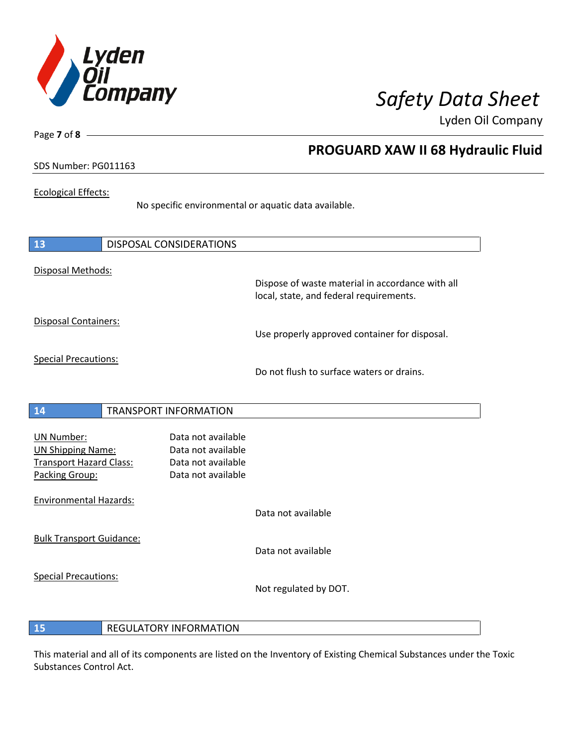

Page **7** of **8**

## **PROGUARD XAW II 68 Hydraulic Fluid**

## SDS Number: PG011163

## Ecological Effects:

No specific environmental or aquatic data available.

| <b>13</b>                                                                                  | <b>DISPOSAL CONSIDERATIONS</b>                                                       |                                                                                             |
|--------------------------------------------------------------------------------------------|--------------------------------------------------------------------------------------|---------------------------------------------------------------------------------------------|
| Disposal Methods:                                                                          |                                                                                      | Dispose of waste material in accordance with all<br>local, state, and federal requirements. |
| Disposal Containers:                                                                       |                                                                                      | Use properly approved container for disposal.                                               |
| <b>Special Precautions:</b>                                                                |                                                                                      | Do not flush to surface waters or drains.                                                   |
| <b>14</b>                                                                                  | <b>TRANSPORT INFORMATION</b>                                                         |                                                                                             |
| <b>UN Number:</b><br><b>UN Shipping Name:</b><br>Transport Hazard Class:<br>Packing Group: | Data not available<br>Data not available<br>Data not available<br>Data not available |                                                                                             |
| <b>Environmental Hazards:</b>                                                              |                                                                                      | Data not available                                                                          |
| <b>Bulk Transport Guidance:</b>                                                            |                                                                                      | Data not available                                                                          |
| <b>Special Precautions:</b>                                                                |                                                                                      | Not regulated by DOT.                                                                       |

## **15** REGULATORY INFORMATION

This material and all of its components are listed on the Inventory of Existing Chemical Substances under the Toxic Substances Control Act.